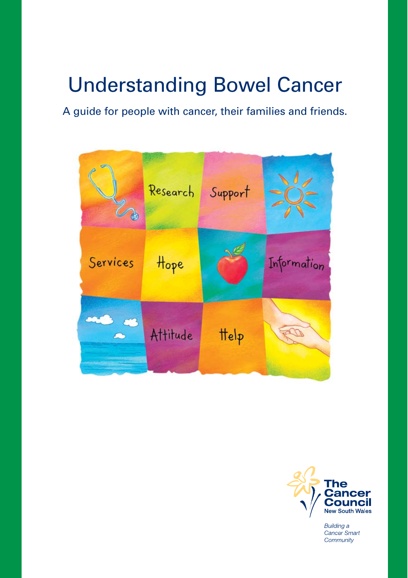# Understanding Bowel Cancer

A guide for people with cancer, their families and friends.





**Building a** Cancer Smart Community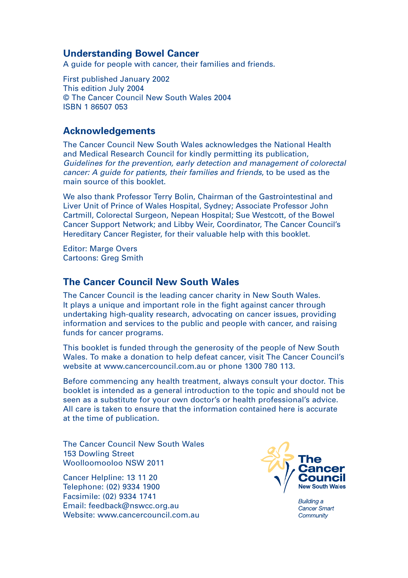#### **Understanding Bowel Cancer**

A guide for people with cancer, their families and friends.

First published January 2002 This edition July 2004 © The Cancer Council New South Wales 2004 ISBN 1 86507 053

#### **Acknowledgements**

The Cancer Council New South Wales acknowledges the National Health and Medical Research Council for kindly permitting its publication, Guidelines for the prevention, early detection and management of colorectal cancer: A guide for patients, their families and friends, to be used as the main source of this booklet.

We also thank Professor Terry Bolin, Chairman of the Gastrointestinal and Liver Unit of Prince of Wales Hospital, Sydney; Associate Professor John Cartmill, Colorectal Surgeon, Nepean Hospital; Sue Westcott, of the Bowel Cancer Support Network; and Libby Weir, Coordinator, The Cancer Council's Hereditary Cancer Register, for their valuable help with this booklet.

Editor: Marge Overs Cartoons: Greg Smith

#### **The Cancer Council New South Wales**

The Cancer Council is the leading cancer charity in New South Wales. It plays a unique and important role in the fight against cancer through undertaking high-quality research, advocating on cancer issues, providing information and services to the public and people with cancer, and raising funds for cancer programs.

This booklet is funded through the generosity of the people of New South Wales. To make a donation to help defeat cancer, visit The Cancer Council's website at www.cancercouncil.com.au or phone 1300 780 113.

Before commencing any health treatment, always consult your doctor. This booklet is intended as a general introduction to the topic and should not be seen as a substitute for your own doctor's or health professional's advice. All care is taken to ensure that the information contained here is accurate at the time of publication.

The Cancer Council New South Wales 153 Dowling Street Woolloomooloo NSW 2011

Cancer Helpline: 13 11 20 Telephone: (02) 9334 1900 Facsimile: (02) 9334 1741 Email: feedback@nswcc.org.au Website: www.cancercouncil.com.au.



**Building a** Cancer Smart Community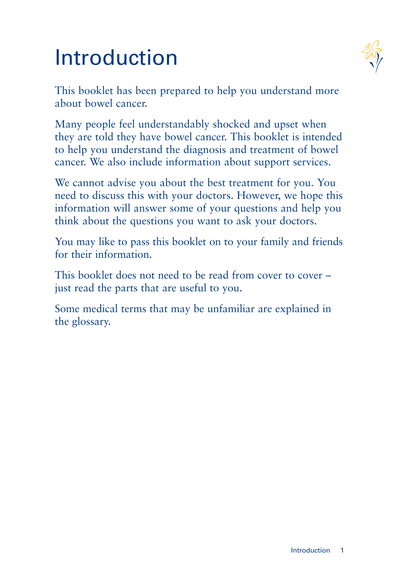# Introduction



This booklet has been prepared to help you understand more about bowel cancer.

Many people feel understandably shocked and upset when they are told they have bowel cancer. This booklet is intended to help you understand the diagnosis and treatment of bowel cancer. We also include information about support services.

We cannot advise you about the best treatment for you. You need to discuss this with your doctors. However, we hope this information will answer some of your questions and help you think about the questions you want to ask your doctors.

You may like to pass this booklet on to your family and friends for their information.

This booklet does not need to be read from cover to cover – just read the parts that are useful to you.

Some medical terms that may be unfamiliar are explained in the glossary.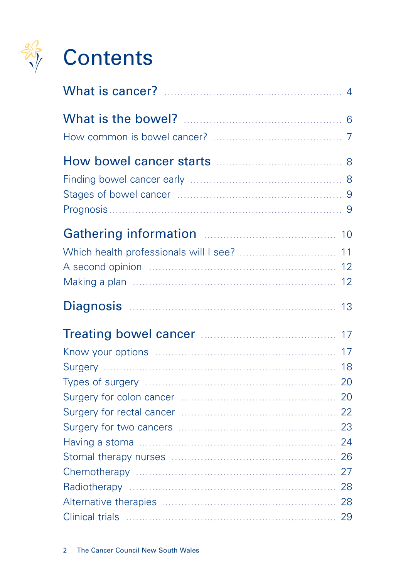

| $\overline{4}$ |
|----------------|
|                |
|                |
|                |
|                |
| 11             |
| 13             |
| 17<br>17<br>18 |
|                |
|                |
|                |
|                |
|                |
|                |
|                |
|                |
|                |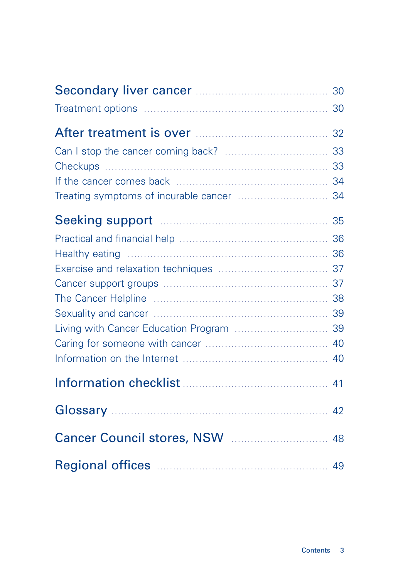|                                          | 30 |
|------------------------------------------|----|
|                                          | 32 |
|                                          | 33 |
|                                          | 33 |
|                                          |    |
|                                          | 34 |
|                                          |    |
|                                          | 36 |
|                                          |    |
|                                          |    |
|                                          |    |
|                                          |    |
|                                          |    |
| Living with Cancer Education Program  39 |    |
|                                          |    |
|                                          |    |
|                                          | 41 |
|                                          | 42 |
|                                          | 48 |
|                                          |    |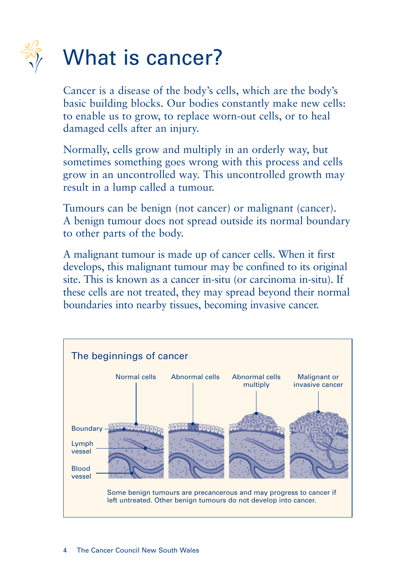

# What is cancer?

Cancer is a disease of the body's cells, which are the body's basic building blocks. Our bodies constantly make new cells: to enable us to grow, to replace worn-out cells, or to heal damaged cells after an injury.

Normally, cells grow and multiply in an orderly way, but sometimes something goes wrong with this process and cells grow in an uncontrolled way. This uncontrolled growth may result in a lump called a tumour.

Tumours can be benign (not cancer) or malignant (cancer). A benign tumour does not spread outside its normal boundary to other parts of the body.

A malignant tumour is made up of cancer cells. When it first develops, this malignant tumour may be confined to its original site. This is known as a cancer in-situ (or carcinoma in-situ). If these cells are not treated, they may spread beyond their normal boundaries into nearby tissues, becoming invasive cancer.

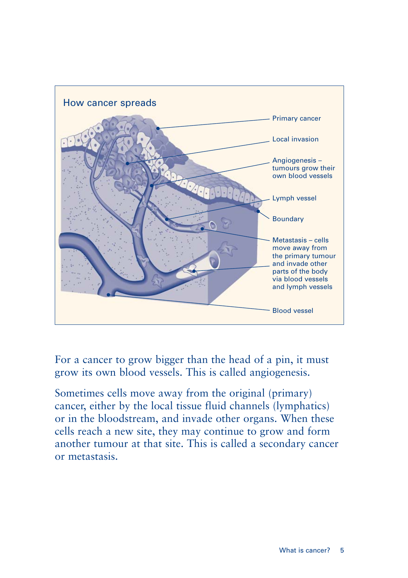

For a cancer to grow bigger than the head of a pin, it must grow its own blood vessels. This is called angiogenesis.

Sometimes cells move away from the original (primary) cancer, either by the local tissue fluid channels (lymphatics) or in the bloodstream, and invade other organs. When these cells reach a new site, they may continue to grow and form another tumour at that site. This is called a secondary cancer or metastasis.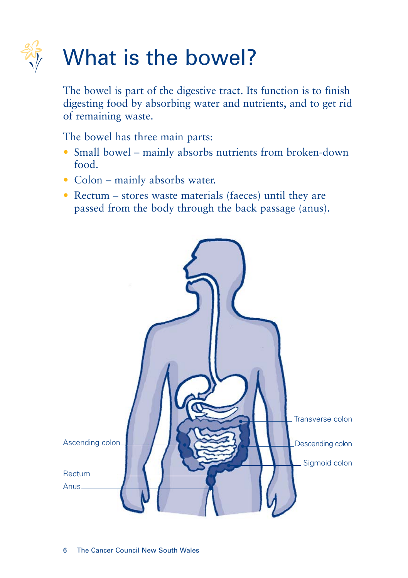

# What is the bowel?

The bowel is part of the digestive tract. Its function is to finish digesting food by absorbing water and nutrients, and to get rid of remaining waste.

The bowel has three main parts:

- Small bowel mainly absorbs nutrients from broken-down food.
- Colon mainly absorbs water.
- Rectum stores waste materials (faeces) until they are passed from the body through the back passage (anus).

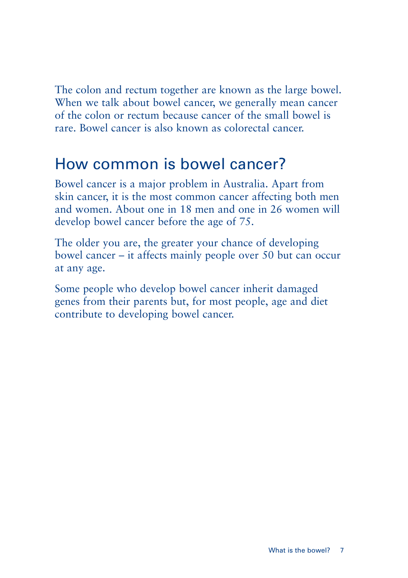The colon and rectum together are known as the large bowel. When we talk about bowel cancer, we generally mean cancer of the colon or rectum because cancer of the small bowel is rare. Bowel cancer is also known as colorectal cancer.

### How common is bowel cancer?

Bowel cancer is a major problem in Australia. Apart from skin cancer, it is the most common cancer affecting both men and women. About one in 18 men and one in 26 women will develop bowel cancer before the age of 75.

The older you are, the greater your chance of developing bowel cancer – it affects mainly people over 50 but can occur at any age.

Some people who develop bowel cancer inherit damaged genes from their parents but, for most people, age and diet contribute to developing bowel cancer.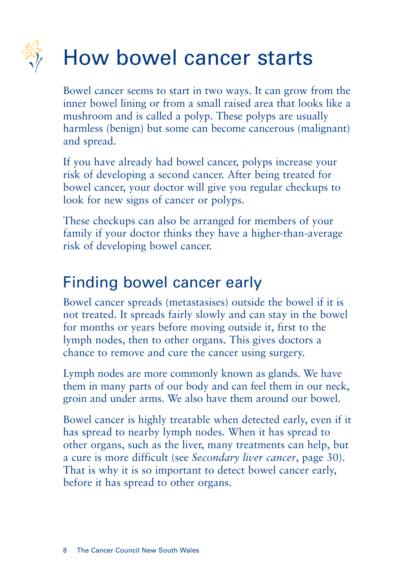# How bowel cancer starts

Bowel cancer seems to start in two ways. It can grow from the inner bowel lining or from a small raised area that looks like a mushroom and is called a polyp. These polyps are usually harmless (benign) but some can become cancerous (malignant) and spread.

If you have already had bowel cancer, polyps increase your risk of developing a second cancer. After being treated for bowel cancer, your doctor will give you regular checkups to look for new signs of cancer or polyps.

These checkups can also be arranged for members of your family if your doctor thinks they have a higher-than-average risk of developing bowel cancer.

## Finding bowel cancer early

Bowel cancer spreads (metastasises) outside the bowel if it is not treated. It spreads fairly slowly and can stay in the bowel for months or years before moving outside it, first to the lymph nodes, then to other organs. This gives doctors a chance to remove and cure the cancer using surgery.

Lymph nodes are more commonly known as glands. We have them in many parts of our body and can feel them in our neck, groin and under arms. We also have them around our bowel.

Bowel cancer is highly treatable when detected early, even if it has spread to nearby lymph nodes. When it has spread to other organs, such as the liver, many treatments can help, but a cure is more difficult (see *Secondary liver cancer*, page 30). That is why it is so important to detect bowel cancer early, before it has spread to other organs.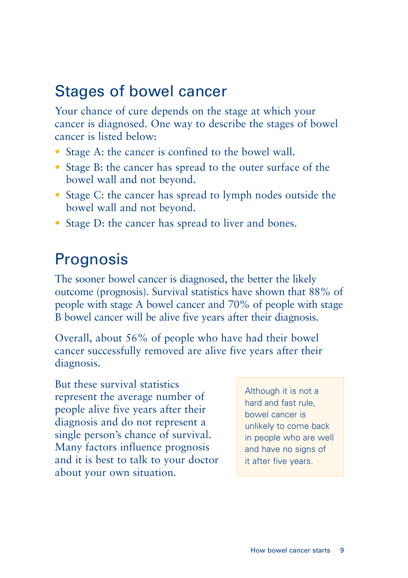## Stages of bowel cancer

Your chance of cure depends on the stage at which your cancer is diagnosed. One way to describe the stages of bowel cancer is listed below:

- Stage A: the cancer is confined to the bowel wall.
- Stage B: the cancer has spread to the outer surface of the bowel wall and not beyond.
- Stage C: the cancer has spread to lymph nodes outside the bowel wall and not beyond.
- Stage D: the cancer has spread to liver and bones.

### Prognosis

The sooner bowel cancer is diagnosed, the better the likely outcome (prognosis). Survival statistics have shown that 88% of people with stage A bowel cancer and 70% of people with stage B bowel cancer will be alive five years after their diagnosis.

Overall, about 56% of people who have had their bowel cancer successfully removed are alive five years after their diagnosis.

But these survival statistics represent the average number of people alive five years after their diagnosis and do not represent a single person's chance of survival. Many factors influence prognosis and it is best to talk to your doctor about your own situation.

Although it is not a hard and fast rule, bowel cancer is unlikely to come back in people who are well and have no signs of it after five years.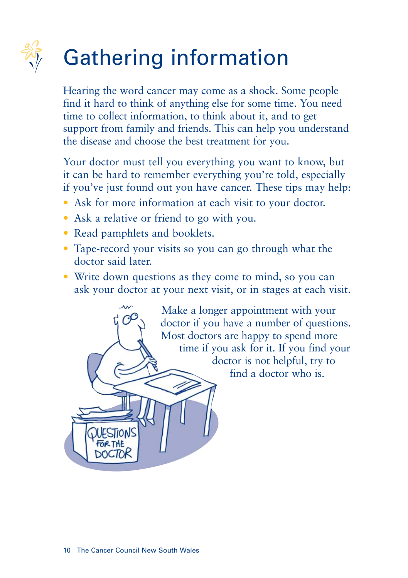# Gathering information

Hearing the word cancer may come as a shock. Some people find it hard to think of anything else for some time. You need time to collect information, to think about it, and to get support from family and friends. This can help you understand the disease and choose the best treatment for you.

Your doctor must tell you everything you want to know, but it can be hard to remember everything you're told, especially if you've just found out you have cancer. These tips may help:

- Ask for more information at each visit to your doctor.
- Ask a relative or friend to go with you.
- Read pamphlets and booklets.
- Tape-record your visits so you can go through what the doctor said later.
- Write down questions as they come to mind, so you can ask your doctor at your next visit, or in stages at each visit.

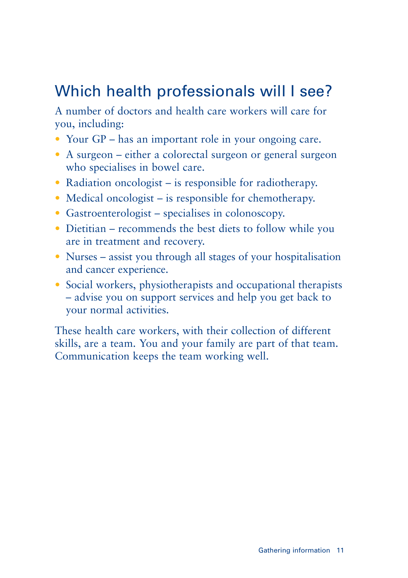# Which health professionals will I see?

A number of doctors and health care workers will care for you, including:

- Your GP has an important role in your ongoing care.
- A surgeon either a colorectal surgeon or general surgeon who specialises in bowel care.
- Radiation oncologist is responsible for radiotherapy.
- Medical oncologist is responsible for chemotherapy.
- Gastroenterologist specialises in colonoscopy.
- Dietitian recommends the best diets to follow while you are in treatment and recovery.
- Nurses assist you through all stages of your hospitalisation and cancer experience.
- Social workers, physiotherapists and occupational therapists – advise you on support services and help you get back to your normal activities.

These health care workers, with their collection of different skills, are a team. You and your family are part of that team. Communication keeps the team working well.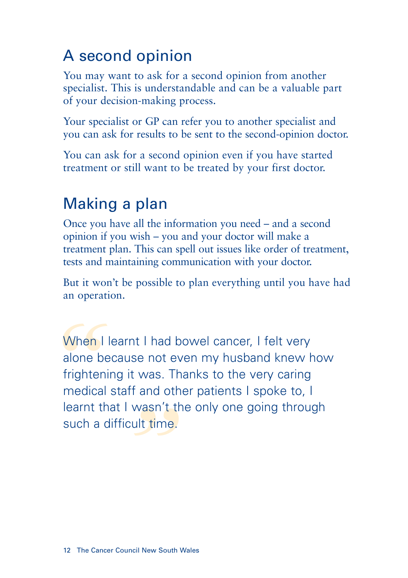# A second opinion

You may want to ask for a second opinion from another specialist. This is understandable and can be a valuable part of your decision-making process.

Your specialist or GP can refer you to another specialist and you can ask for results to be sent to the second-opinion doctor.

You can ask for a second opinion even if you have started treatment or still want to be treated by your first doctor.

# Making a plan

Once you have all the information you need – and a second opinion if you wish – you and your doctor will make a treatment plan. This can spell out issues like order of treatment, tests and maintaining communication with your doctor.

But it won't be possible to plan everything until you have had an operation.

rl wasn't th<br>ficult time.<br>**"** When I<br>
alone be<br>
frighteni<br>
medical<br>
learnt th<br>
such a d When I learnt I had bowel cancer, I felt very alone because not even my husband knew how frightening it was. Thanks to the very caring medical staff and other patients I spoke to, I learnt that I wasn't the only one going through such a difficult time.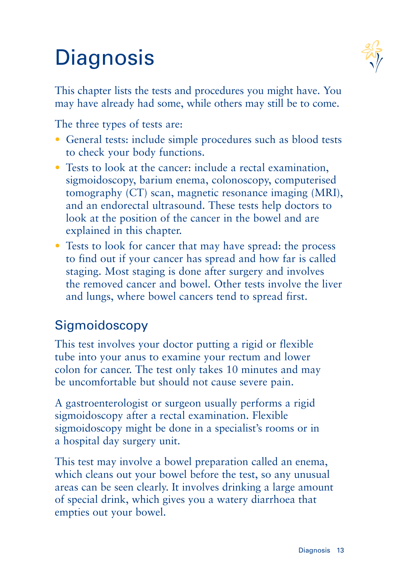# **Diagnosis**



This chapter lists the tests and procedures you might have. You may have already had some, while others may still be to come.

The three types of tests are:

- General tests: include simple procedures such as blood tests to check your body functions.
- Tests to look at the cancer: include a rectal examination, sigmoidoscopy, barium enema, colonoscopy, computerised tomography (CT) scan, magnetic resonance imaging (MRI), and an endorectal ultrasound. These tests help doctors to look at the position of the cancer in the bowel and are explained in this chapter.
- Tests to look for cancer that may have spread: the process to find out if your cancer has spread and how far is called staging. Most staging is done after surgery and involves the removed cancer and bowel. Other tests involve the liver and lungs, where bowel cancers tend to spread first.

### Sigmoidoscopy

This test involves your doctor putting a rigid or flexible tube into your anus to examine your rectum and lower colon for cancer. The test only takes 10 minutes and may be uncomfortable but should not cause severe pain.

A gastroenterologist or surgeon usually performs a rigid sigmoidoscopy after a rectal examination. Flexible sigmoidoscopy might be done in a specialist's rooms or in a hospital day surgery unit.

This test may involve a bowel preparation called an enema, which cleans out your bowel before the test, so any unusual areas can be seen clearly. It involves drinking a large amount of special drink, which gives you a watery diarrhoea that empties out your bowel.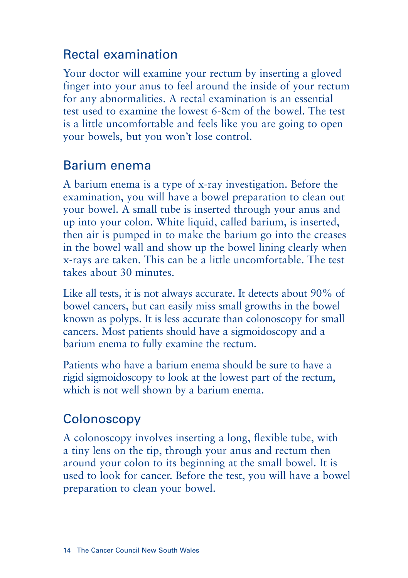### Rectal examination

Your doctor will examine your rectum by inserting a gloved finger into your anus to feel around the inside of your rectum for any abnormalities. A rectal examination is an essential test used to examine the lowest 6-8cm of the bowel. The test is a little uncomfortable and feels like you are going to open your bowels, but you won't lose control.

### Barium enema

A barium enema is a type of x-ray investigation. Before the examination, you will have a bowel preparation to clean out your bowel. A small tube is inserted through your anus and up into your colon. White liquid, called barium, is inserted, then air is pumped in to make the barium go into the creases in the bowel wall and show up the bowel lining clearly when x-rays are taken. This can be a little uncomfortable. The test takes about 30 minutes.

Like all tests, it is not always accurate. It detects about 90% of bowel cancers, but can easily miss small growths in the bowel known as polyps. It is less accurate than colonoscopy for small cancers. Most patients should have a sigmoidoscopy and a barium enema to fully examine the rectum.

Patients who have a barium enema should be sure to have a rigid sigmoidoscopy to look at the lowest part of the rectum, which is not well shown by a barium enema.

### **Colonoscopy**

A colonoscopy involves inserting a long, flexible tube, with a tiny lens on the tip, through your anus and rectum then around your colon to its beginning at the small bowel. It is used to look for cancer. Before the test, you will have a bowel preparation to clean your bowel.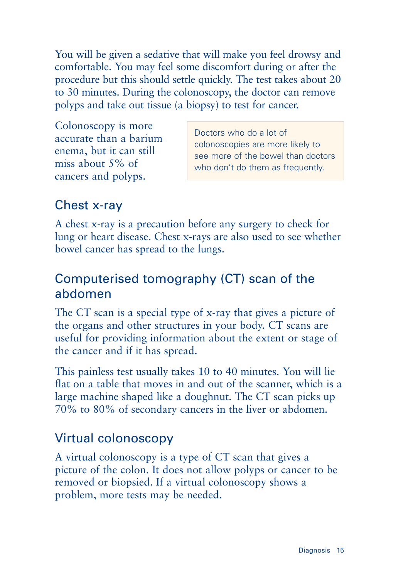You will be given a sedative that will make you feel drowsy and comfortable. You may feel some discomfort during or after the procedure but this should settle quickly. The test takes about 20 to 30 minutes. During the colonoscopy, the doctor can remove polyps and take out tissue (a biopsy) to test for cancer.

Colonoscopy is more accurate than a barium enema, but it can still miss about 5% of cancers and polyps.

Doctors who do a lot of colonoscopies are more likely to see more of the bowel than doctors who don't do them as frequently.

### Chest x-ray

A chest x-ray is a precaution before any surgery to check for lung or heart disease. Chest x-rays are also used to see whether bowel cancer has spread to the lungs.

### Computerised tomography (CT) scan of the abdomen

The CT scan is a special type of x-ray that gives a picture of the organs and other structures in your body. CT scans are useful for providing information about the extent or stage of the cancer and if it has spread.

This painless test usually takes 10 to 40 minutes. You will lie flat on a table that moves in and out of the scanner, which is a large machine shaped like a doughnut. The CT scan picks up 70% to 80% of secondary cancers in the liver or abdomen.

### Virtual colonoscopy

A virtual colonoscopy is a type of CT scan that gives a picture of the colon. It does not allow polyps or cancer to be removed or biopsied. If a virtual colonoscopy shows a problem, more tests may be needed.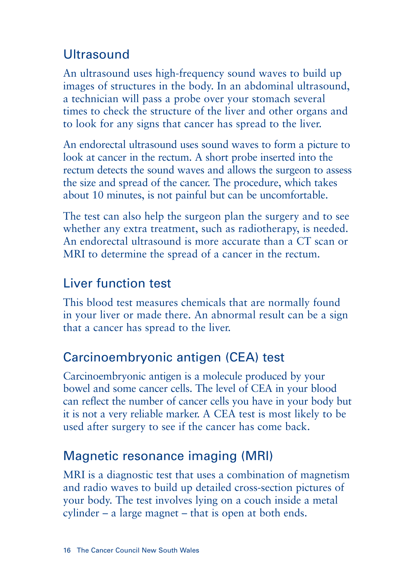### **Ultrasound**

An ultrasound uses high-frequency sound waves to build up images of structures in the body. In an abdominal ultrasound, a technician will pass a probe over your stomach several times to check the structure of the liver and other organs and to look for any signs that cancer has spread to the liver.

An endorectal ultrasound uses sound waves to form a picture to look at cancer in the rectum. A short probe inserted into the rectum detects the sound waves and allows the surgeon to assess the size and spread of the cancer. The procedure, which takes about 10 minutes, is not painful but can be uncomfortable.

The test can also help the surgeon plan the surgery and to see whether any extra treatment, such as radiotherapy, is needed. An endorectal ultrasound is more accurate than a CT scan or MRI to determine the spread of a cancer in the rectum.

### Liver function test

This blood test measures chemicals that are normally found in your liver or made there. An abnormal result can be a sign that a cancer has spread to the liver.

### Carcinoembryonic antigen (CEA) test

Carcinoembryonic antigen is a molecule produced by your bowel and some cancer cells. The level of CEA in your blood can reflect the number of cancer cells you have in your body but it is not a very reliable marker. A CEA test is most likely to be used after surgery to see if the cancer has come back.

### Magnetic resonance imaging (MRI)

MRI is a diagnostic test that uses a combination of magnetism and radio waves to build up detailed cross-section pictures of your body. The test involves lying on a couch inside a metal cylinder – a large magnet – that is open at both ends.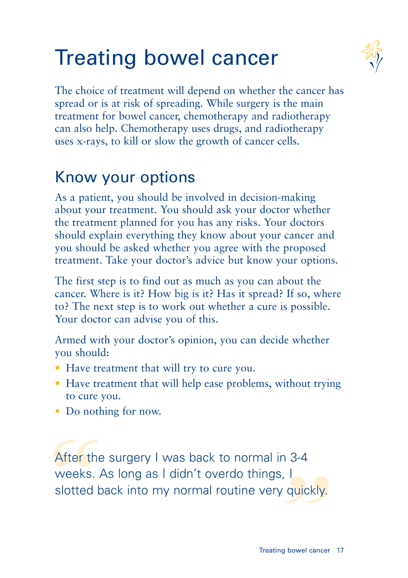# Treating bowel cancer



The choice of treatment will depend on whether the cancer has spread or is at risk of spreading. While surgery is the main treatment for bowel cancer, chemotherapy and radiotherapy can also help. Chemotherapy uses drugs, and radiotherapy uses x-rays, to kill or slow the growth of cancer cells.

## Know your options

As a patient, you should be involved in decision-making about your treatment. You should ask your doctor whether the treatment planned for you has any risks. Your doctors should explain everything they know about your cancer and you should be asked whether you agree with the proposed treatment. Take your doctor's advice but know your options.

The first step is to find out as much as you can about the cancer. Where is it? How big is it? Has it spread? If so, where to? The next step is to work out whether a cure is possible. Your doctor can advise you of this.

Armed with your doctor's opinion, you can decide whether you should:

- Have treatment that will try to cure you.
- Have treatment that will help ease problems, without trying to cure you.
- Do nothing for now.

gs, I<br>ery quickly.<br><sup>ating bowel cancer</sup> After the<br>weeks...<br>slotted k After the surgery I was back to normal in 3-4 weeks. As long as I didn't overdo things, I slotted back into my normal routine very quickly.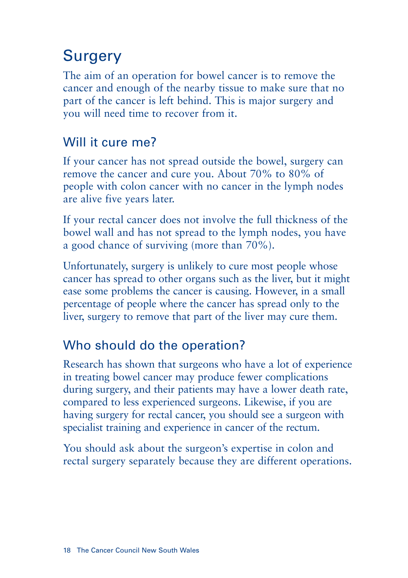# **Surgery**

The aim of an operation for bowel cancer is to remove the cancer and enough of the nearby tissue to make sure that no part of the cancer is left behind. This is major surgery and you will need time to recover from it.

### Will it cure me?

If your cancer has not spread outside the bowel, surgery can remove the cancer and cure you. About 70% to 80% of people with colon cancer with no cancer in the lymph nodes are alive five years later.

If your rectal cancer does not involve the full thickness of the bowel wall and has not spread to the lymph nodes, you have a good chance of surviving (more than 70%).

Unfortunately, surgery is unlikely to cure most people whose cancer has spread to other organs such as the liver, but it might ease some problems the cancer is causing. However, in a small percentage of people where the cancer has spread only to the liver, surgery to remove that part of the liver may cure them.

### Who should do the operation?

Research has shown that surgeons who have a lot of experience in treating bowel cancer may produce fewer complications during surgery, and their patients may have a lower death rate, compared to less experienced surgeons. Likewise, if you are having surgery for rectal cancer, you should see a surgeon with specialist training and experience in cancer of the rectum.

You should ask about the surgeon's expertise in colon and rectal surgery separately because they are different operations.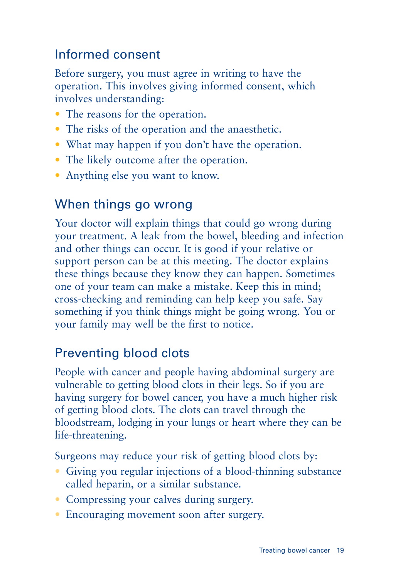### Informed consent

Before surgery, you must agree in writing to have the operation. This involves giving informed consent, which involves understanding:

- The reasons for the operation.
- The risks of the operation and the anaesthetic.
- What may happen if you don't have the operation.
- The likely outcome after the operation.
- Anything else you want to know.

### When things go wrong

Your doctor will explain things that could go wrong during your treatment. A leak from the bowel, bleeding and infection and other things can occur. It is good if your relative or support person can be at this meeting. The doctor explains these things because they know they can happen. Sometimes one of your team can make a mistake. Keep this in mind; cross-checking and reminding can help keep you safe. Say something if you think things might be going wrong. You or your family may well be the first to notice.

### Preventing blood clots

People with cancer and people having abdominal surgery are vulnerable to getting blood clots in their legs. So if you are having surgery for bowel cancer, you have a much higher risk of getting blood clots. The clots can travel through the bloodstream, lodging in your lungs or heart where they can be life-threatening.

Surgeons may reduce your risk of getting blood clots by:

- Giving you regular injections of a blood-thinning substance called heparin, or a similar substance.
- Compressing your calves during surgery.
- Encouraging movement soon after surgery.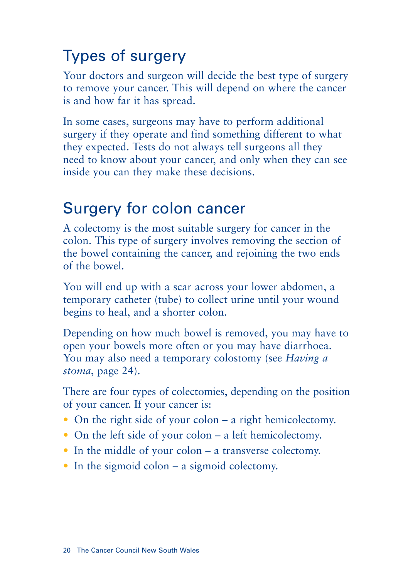# Types of surgery

Your doctors and surgeon will decide the best type of surgery to remove your cancer. This will depend on where the cancer is and how far it has spread.

In some cases, surgeons may have to perform additional surgery if they operate and find something different to what they expected. Tests do not always tell surgeons all they need to know about your cancer, and only when they can see inside you can they make these decisions.

### Surgery for colon cancer

A colectomy is the most suitable surgery for cancer in the colon. This type of surgery involves removing the section of the bowel containing the cancer, and rejoining the two ends of the bowel.

You will end up with a scar across your lower abdomen, a temporary catheter (tube) to collect urine until your wound begins to heal, and a shorter colon.

Depending on how much bowel is removed, you may have to open your bowels more often or you may have diarrhoea. You may also need a temporary colostomy (see *Having a stoma*, page 24).

There are four types of colectomies, depending on the position of your cancer. If your cancer is:

- On the right side of your colon a right hemicolectomy.
- On the left side of your colon a left hemicolectomy.
- In the middle of your colon a transverse colectomy.
- In the sigmoid colon a sigmoid colectomy.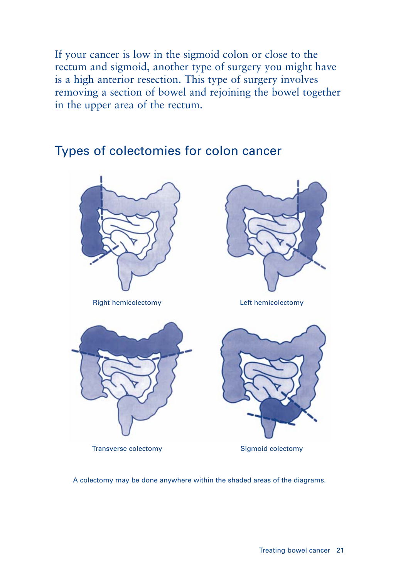If your cancer is low in the sigmoid colon or close to the rectum and sigmoid, another type of surgery you might have is a high anterior resection. This type of surgery involves removing a section of bowel and rejoining the bowel together in the upper area of the rectum.

### Types of colectomies for colon cancer



Right hemicolectomy Left hemicolectomy





Transverse colectomy



Sigmoid colectomy

A colectomy may be done anywhere within the shaded areas of the diagrams.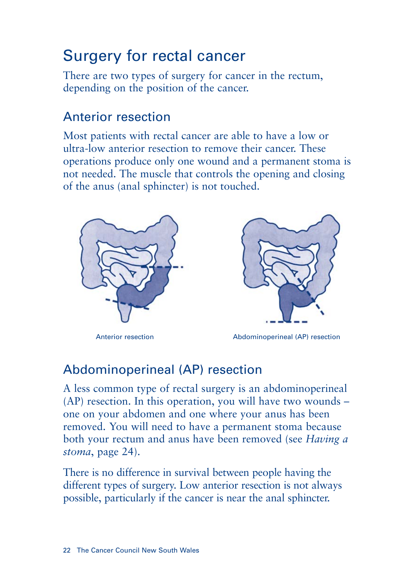# Surgery for rectal cancer

There are two types of surgery for cancer in the rectum, depending on the position of the cancer.

### Anterior resection

Most patients with rectal cancer are able to have a low or ultra-low anterior resection to remove their cancer. These operations produce only one wound and a permanent stoma is not needed. The muscle that controls the opening and closing of the anus (anal sphincter) is not touched.





Anterior resection Abdominoperineal (AP) resection

### Abdominoperineal (AP) resection

A less common type of rectal surgery is an abdominoperineal (AP) resection. In this operation, you will have two wounds – one on your abdomen and one where your anus has been removed. You will need to have a permanent stoma because both your rectum and anus have been removed (see *Having a stoma*, page 24).

There is no difference in survival between people having the different types of surgery. Low anterior resection is not always possible, particularly if the cancer is near the anal sphincter.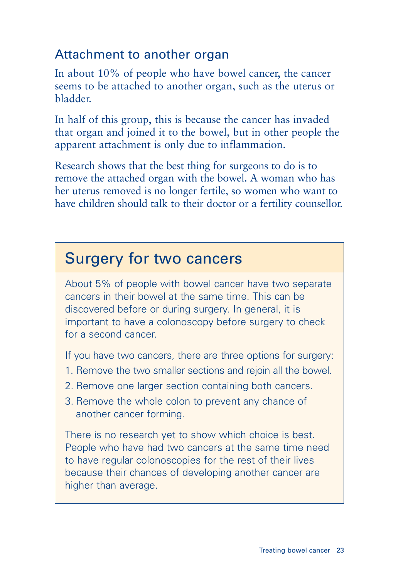### Attachment to another organ

In about 10% of people who have bowel cancer, the cancer seems to be attached to another organ, such as the uterus or bladder.

In half of this group, this is because the cancer has invaded that organ and joined it to the bowel, but in other people the apparent attachment is only due to inflammation.

Research shows that the best thing for surgeons to do is to remove the attached organ with the bowel. A woman who has her uterus removed is no longer fertile, so women who want to have children should talk to their doctor or a fertility counsellor.

### Surgery for two cancers

About 5% of people with bowel cancer have two separate cancers in their bowel at the same time. This can be discovered before or during surgery. In general, it is important to have a colonoscopy before surgery to check for a second cancer.

If you have two cancers, there are three options for surgery:

- 1. Remove the two smaller sections and rejoin all the bowel.
- 2. Remove one larger section containing both cancers.
- 3. Remove the whole colon to prevent any chance of another cancer forming.

There is no research yet to show which choice is best. People who have had two cancers at the same time need to have regular colonoscopies for the rest of their lives because their chances of developing another cancer are higher than average.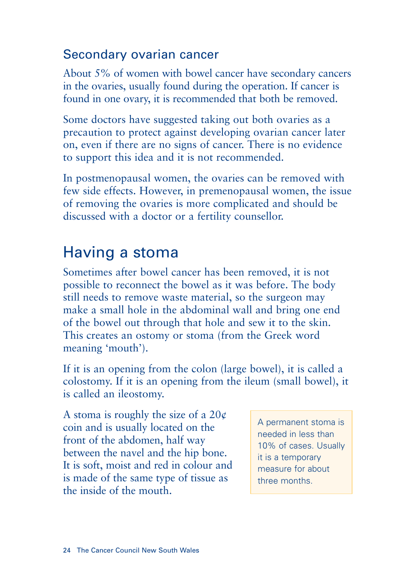### Secondary ovarian cancer

About 5% of women with bowel cancer have secondary cancers in the ovaries, usually found during the operation. If cancer is found in one ovary, it is recommended that both be removed.

Some doctors have suggested taking out both ovaries as a precaution to protect against developing ovarian cancer later on, even if there are no signs of cancer. There is no evidence to support this idea and it is not recommended.

In postmenopausal women, the ovaries can be removed with few side effects. However, in premenopausal women, the issue of removing the ovaries is more complicated and should be discussed with a doctor or a fertility counsellor.

# Having a stoma

Sometimes after bowel cancer has been removed, it is not possible to reconnect the bowel as it was before. The body still needs to remove waste material, so the surgeon may make a small hole in the abdominal wall and bring one end of the bowel out through that hole and sew it to the skin. This creates an ostomy or stoma (from the Greek word meaning 'mouth').

If it is an opening from the colon (large bowel), it is called a colostomy. If it is an opening from the ileum (small bowel), it is called an ileostomy.

A stoma is roughly the size of a  $20¢$ coin and is usually located on the front of the abdomen, half way between the navel and the hip bone. It is soft, moist and red in colour and is made of the same type of tissue as the inside of the mouth.

A permanent stoma is needed in less than 10% of cases. Usually it is a temporary measure for about three months.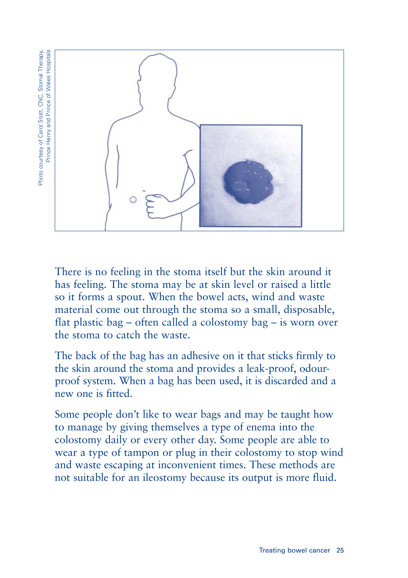Photo courtesy of Carol Stott, CNC, Stomal Therapy, Prince Henry and Prince of Wales Hospitals Photo courtesy of Carol Stott, CNC, Stomal Therapy, Prince Henry and Prince of Wales Hospitals



There is no feeling in the stoma itself but the skin around it has feeling. The stoma may be at skin level or raised a little so it forms a spout. When the bowel acts, wind and waste material come out through the stoma so a small, disposable, flat plastic bag – often called a colostomy bag – is worn over the stoma to catch the waste.

The back of the bag has an adhesive on it that sticks firmly to the skin around the stoma and provides a leak-proof, odourproof system. When a bag has been used, it is discarded and a new one is fitted.

Some people don't like to wear bags and may be taught how to manage by giving themselves a type of enema into the colostomy daily or every other day. Some people are able to wear a type of tampon or plug in their colostomy to stop wind and waste escaping at inconvenient times. These methods are not suitable for an ileostomy because its output is more fluid.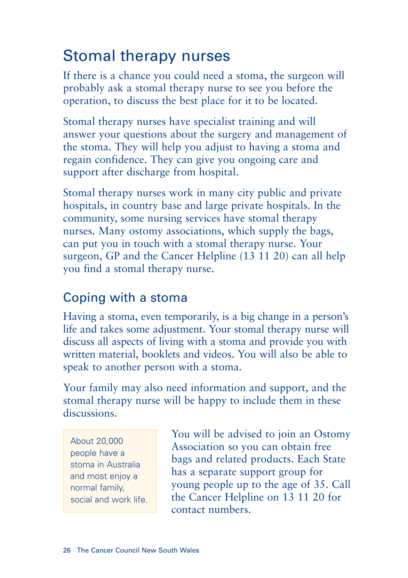## Stomal therapy nurses

If there is a chance you could need a stoma, the surgeon will probably ask a stomal therapy nurse to see you before the operation, to discuss the best place for it to be located.

Stomal therapy nurses have specialist training and will answer your questions about the surgery and management of the stoma. They will help you adjust to having a stoma and regain confidence. They can give you ongoing care and support after discharge from hospital.

Stomal therapy nurses work in many city public and private hospitals, in country base and large private hospitals. In the community, some nursing services have stomal therapy nurses. Many ostomy associations, which supply the bags, can put you in touch with a stomal therapy nurse. Your surgeon, GP and the Cancer Helpline (13 11 20) can all help you find a stomal therapy nurse.

### Coping with a stoma

Having a stoma, even temporarily, is a big change in a person's life and takes some adjustment. Your stomal therapy nurse will discuss all aspects of living with a stoma and provide you with written material, booklets and videos. You will also be able to speak to another person with a stoma.

Your family may also need information and support, and the stomal therapy nurse will be happy to include them in these discussions.

About 20,000 people have a stoma in Australia and most enjoy a normal family, social and work life. You will be advised to join an Ostomy Association so you can obtain free bags and related products. Each State has a separate support group for young people up to the age of 35. Call the Cancer Helpline on 13 11 20 for contact numbers.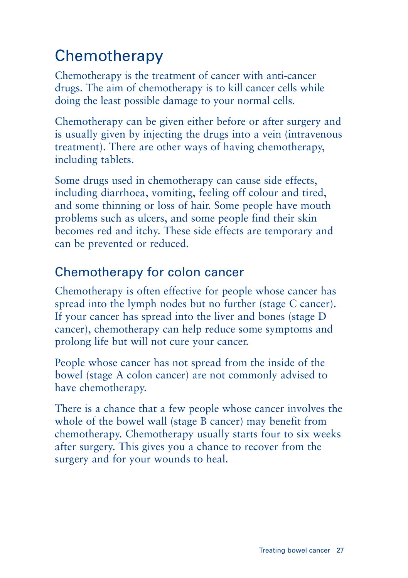# **Chemotherapy**

Chemotherapy is the treatment of cancer with anti-cancer drugs. The aim of chemotherapy is to kill cancer cells while doing the least possible damage to your normal cells.

Chemotherapy can be given either before or after surgery and is usually given by injecting the drugs into a vein (intravenous treatment). There are other ways of having chemotherapy, including tablets.

Some drugs used in chemotherapy can cause side effects, including diarrhoea, vomiting, feeling off colour and tired, and some thinning or loss of hair. Some people have mouth problems such as ulcers, and some people find their skin becomes red and itchy. These side effects are temporary and can be prevented or reduced.

### Chemotherapy for colon cancer

Chemotherapy is often effective for people whose cancer has spread into the lymph nodes but no further (stage C cancer). If your cancer has spread into the liver and bones (stage D cancer), chemotherapy can help reduce some symptoms and prolong life but will not cure your cancer.

People whose cancer has not spread from the inside of the bowel (stage A colon cancer) are not commonly advised to have chemotherapy.

There is a chance that a few people whose cancer involves the whole of the bowel wall (stage B cancer) may benefit from chemotherapy. Chemotherapy usually starts four to six weeks after surgery. This gives you a chance to recover from the surgery and for your wounds to heal.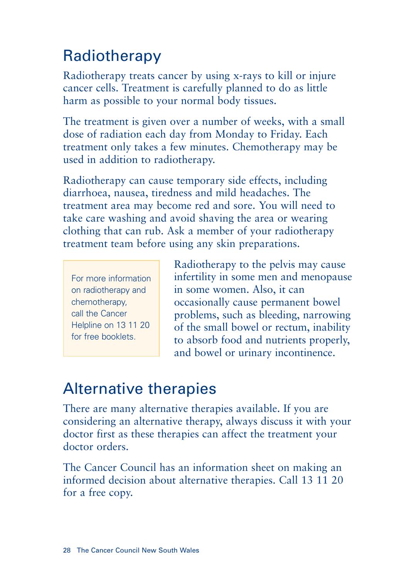# Radiotherapy

Radiotherapy treats cancer by using x-rays to kill or injure cancer cells. Treatment is carefully planned to do as little harm as possible to your normal body tissues.

The treatment is given over a number of weeks, with a small dose of radiation each day from Monday to Friday. Each treatment only takes a few minutes. Chemotherapy may be used in addition to radiotherapy.

Radiotherapy can cause temporary side effects, including diarrhoea, nausea, tiredness and mild headaches. The treatment area may become red and sore. You will need to take care washing and avoid shaving the area or wearing clothing that can rub. Ask a member of your radiotherapy treatment team before using any skin preparations.

For more information on radiotherapy and chemotherapy, call the Cancer Helpline on 13 11 20 for free booklets.

Radiotherapy to the pelvis may cause infertility in some men and menopause in some women. Also, it can occasionally cause permanent bowel problems, such as bleeding, narrowing of the small bowel or rectum, inability to absorb food and nutrients properly, and bowel or urinary incontinence.

## Alternative therapies

There are many alternative therapies available. If you are considering an alternative therapy, always discuss it with your doctor first as these therapies can affect the treatment your doctor orders.

The Cancer Council has an information sheet on making an informed decision about alternative therapies. Call 13 11 20 for a free copy.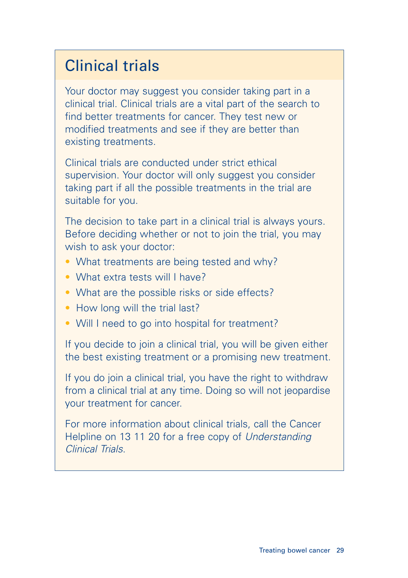## Clinical trials

Your doctor may suggest you consider taking part in a clinical trial. Clinical trials are a vital part of the search to find better treatments for cancer. They test new or modified treatments and see if they are better than existing treatments.

Clinical trials are conducted under strict ethical supervision. Your doctor will only suggest you consider taking part if all the possible treatments in the trial are suitable for you.

The decision to take part in a clinical trial is always yours. Before deciding whether or not to join the trial, you may wish to ask your doctor:

- What treatments are being tested and why?
- What extra tests will I have?
- What are the possible risks or side effects?
- How long will the trial last?
- Will I need to go into hospital for treatment?

If you decide to join a clinical trial, you will be given either the best existing treatment or a promising new treatment.

If you do join a clinical trial, you have the right to withdraw from a clinical trial at any time. Doing so will not jeopardise your treatment for cancer.

For more information about clinical trials, call the Cancer Helpline on 13 11 20 for a free copy of Understanding Clinical Trials.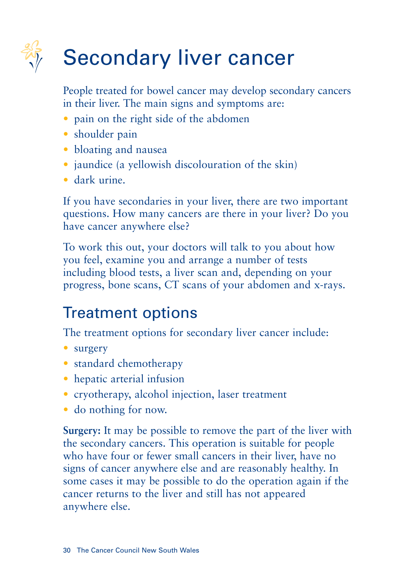

# Secondary liver cancer

People treated for bowel cancer may develop secondary cancers in their liver. The main signs and symptoms are:

- pain on the right side of the abdomen
- shoulder pain
- bloating and nausea
- jaundice (a yellowish discolouration of the skin)
- dark urine.

If you have secondaries in your liver, there are two important questions. How many cancers are there in your liver? Do you have cancer anywhere else?

To work this out, your doctors will talk to you about how you feel, examine you and arrange a number of tests including blood tests, a liver scan and, depending on your progress, bone scans, CT scans of your abdomen and x-rays.

# Treatment options

The treatment options for secondary liver cancer include:

- surgery
- standard chemotherapy
- hepatic arterial infusion
- cryotherapy, alcohol injection, laser treatment
- do nothing for now.

**Surgery:** It may be possible to remove the part of the liver with the secondary cancers. This operation is suitable for people who have four or fewer small cancers in their liver, have no signs of cancer anywhere else and are reasonably healthy. In some cases it may be possible to do the operation again if the cancer returns to the liver and still has not appeared anywhere else.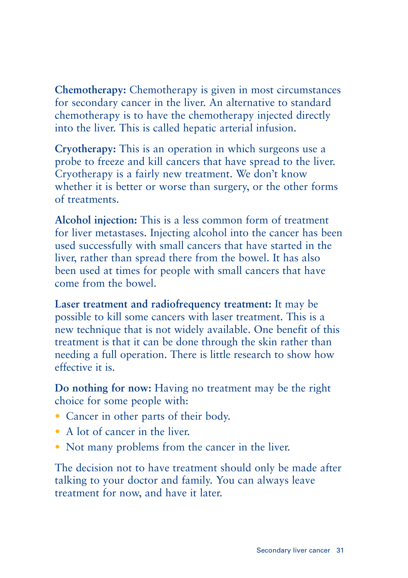**Chemotherapy:** Chemotherapy is given in most circumstances for secondary cancer in the liver. An alternative to standard chemotherapy is to have the chemotherapy injected directly into the liver. This is called hepatic arterial infusion.

**Cryotherapy:** This is an operation in which surgeons use a probe to freeze and kill cancers that have spread to the liver. Cryotherapy is a fairly new treatment. We don't know whether it is better or worse than surgery, or the other forms of treatments.

**Alcohol injection:** This is a less common form of treatment for liver metastases. Injecting alcohol into the cancer has been used successfully with small cancers that have started in the liver, rather than spread there from the bowel. It has also been used at times for people with small cancers that have come from the bowel.

**Laser treatment and radiofrequency treatment:** It may be possible to kill some cancers with laser treatment. This is a new technique that is not widely available. One benefit of this treatment is that it can be done through the skin rather than needing a full operation. There is little research to show how effective it is.

**Do nothing for now:** Having no treatment may be the right choice for some people with:

- Cancer in other parts of their body.
- A lot of cancer in the liver.
- Not many problems from the cancer in the liver.

The decision not to have treatment should only be made after talking to your doctor and family. You can always leave treatment for now, and have it later.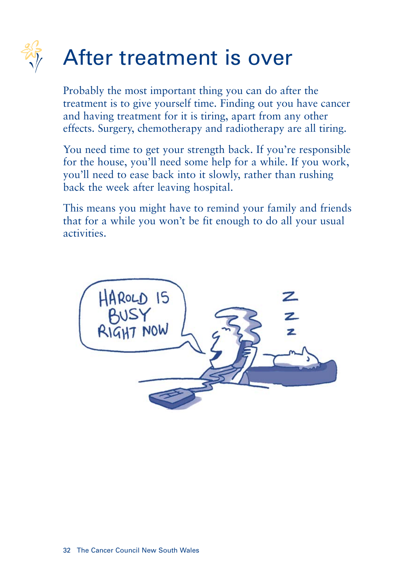

Probably the most important thing you can do after the treatment is to give yourself time. Finding out you have cancer and having treatment for it is tiring, apart from any other effects. Surgery, chemotherapy and radiotherapy are all tiring.

You need time to get your strength back. If you're responsible for the house, you'll need some help for a while. If you work, you'll need to ease back into it slowly, rather than rushing back the week after leaving hospital.

This means you might have to remind your family and friends that for a while you won't be fit enough to do all your usual activities.

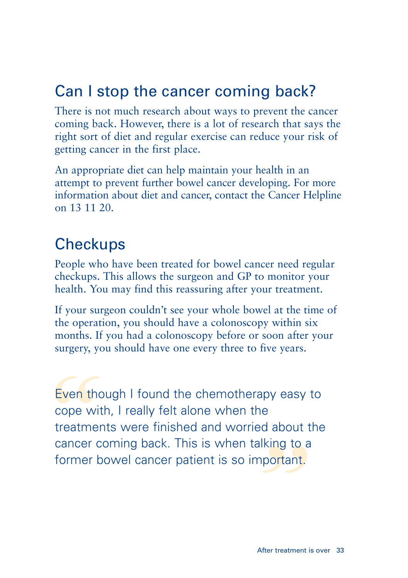## Can I stop the cancer coming back?

There is not much research about ways to prevent the cancer coming back. However, there is a lot of research that says the right sort of diet and regular exercise can reduce your risk of getting cancer in the first place.

An appropriate diet can help maintain your health in an attempt to prevent further bowel cancer developing. For more information about diet and cancer, contact the Cancer Helpline on 13 11 20.

## **Checkups**

People who have been treated for bowel cancer need regular checkups. This allows the surgeon and GP to monitor your health. You may find this reassuring after your treatment.

If your surgeon couldn't see your whole bowel at the time of the operation, you should have a colonoscopy within six months. If you had a colonoscopy before or soon after your surgery, you should have one every three to five years.

talking to a<br>*important.*<br>After treatment is Even the<br>cope with<br>treatmer<br>cancer c<br>former b Even though I found the chemotherapy easy to cope with, I really felt alone when the treatments were finished and worried about the cancer coming back. This is when talking to a former bowel cancer patient is so important.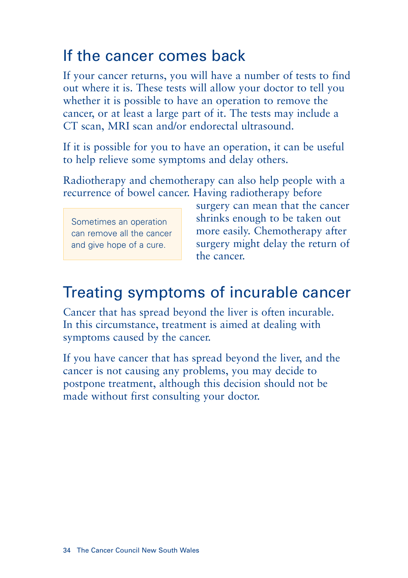## If the cancer comes back

If your cancer returns, you will have a number of tests to find out where it is. These tests will allow your doctor to tell you whether it is possible to have an operation to remove the cancer, or at least a large part of it. The tests may include a CT scan, MRI scan and/or endorectal ultrasound.

If it is possible for you to have an operation, it can be useful to help relieve some symptoms and delay others.

Radiotherapy and chemotherapy can also help people with a recurrence of bowel cancer. Having radiotherapy before

Sometimes an operation can remove all the cancer and give hope of a cure.

surgery can mean that the cancer shrinks enough to be taken out more easily. Chemotherapy after surgery might delay the return of the cancer.

## Treating symptoms of incurable cancer

Cancer that has spread beyond the liver is often incurable. In this circumstance, treatment is aimed at dealing with symptoms caused by the cancer.

If you have cancer that has spread beyond the liver, and the cancer is not causing any problems, you may decide to postpone treatment, although this decision should not be made without first consulting your doctor.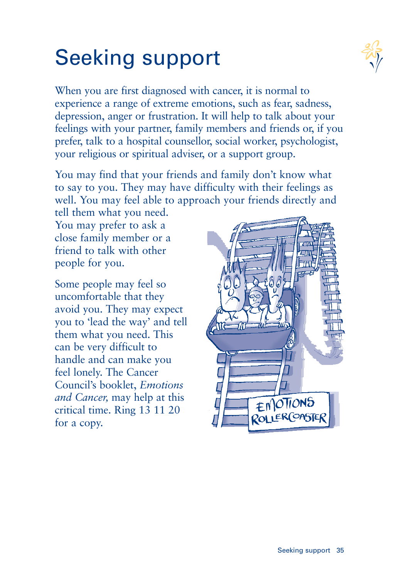# Seeking support



When you are first diagnosed with cancer, it is normal to experience a range of extreme emotions, such as fear, sadness, depression, anger or frustration. It will help to talk about your feelings with your partner, family members and friends or, if you prefer, talk to a hospital counsellor, social worker, psychologist, your religious or spiritual adviser, or a support group.

You may find that your friends and family don't know what to say to you. They may have difficulty with their feelings as well. You may feel able to approach your friends directly and

tell them what you need. You may prefer to ask a close family member or a friend to talk with other people for you.

Some people may feel so uncomfortable that they avoid you. They may expect you to 'lead the way' and tell them what you need. This can be very difficult to handle and can make you feel lonely. The Cancer Council's booklet, *Emotions and Cancer,* may help at this critical time. Ring 13 11 20 for a copy.

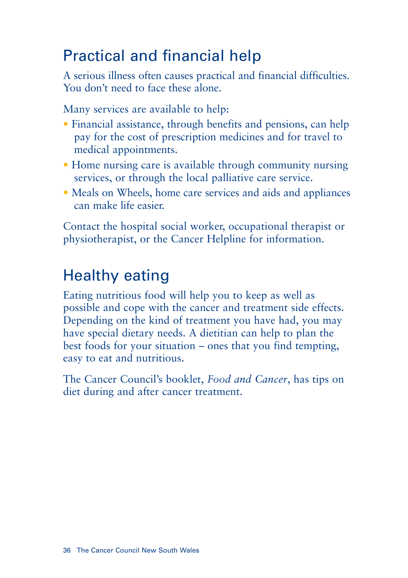## Practical and financial help

A serious illness often causes practical and financial difficulties. You don't need to face these alone.

Many services are available to help:

- Financial assistance, through benefits and pensions, can help pay for the cost of prescription medicines and for travel to medical appointments.
- Home nursing care is available through community nursing services, or through the local palliative care service.
- Meals on Wheels, home care services and aids and appliances can make life easier.

Contact the hospital social worker, occupational therapist or physiotherapist, or the Cancer Helpline for information.

# Healthy eating

Eating nutritious food will help you to keep as well as possible and cope with the cancer and treatment side effects. Depending on the kind of treatment you have had, you may have special dietary needs. A dietitian can help to plan the best foods for your situation – ones that you find tempting, easy to eat and nutritious.

The Cancer Council's booklet, *Food and Cancer*, has tips on diet during and after cancer treatment.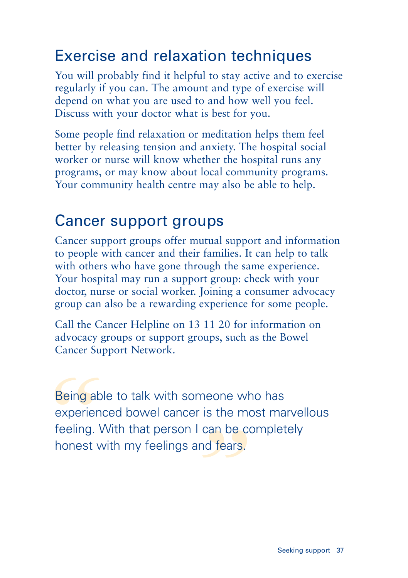## Exercise and relaxation techniques

You will probably find it helpful to stay active and to exercise regularly if you can. The amount and type of exercise will depend on what you are used to and how well you feel. Discuss with your doctor what is best for you.

Some people find relaxation or meditation helps them feel better by releasing tension and anxiety. The hospital social worker or nurse will know whether the hospital runs any programs, or may know about local community programs. Your community health centre may also be able to help.

## Cancer support groups

Cancer support groups offer mutual support and information to people with cancer and their families. It can help to talk with others who have gone through the same experience. Your hospital may run a support group: check with your doctor, nurse or social worker. Joining a consumer advocacy group can also be a rewarding experience for some people.

Call the Cancer Helpline on 13 11 20 for information on advocacy groups or support groups, such as the Bowel Cancer Support Network.

r I can be co<br>and fears.<br><u>That is a</u> Being ab<br>experien<br>feeling. \<br>honest v Being able to talk with someone who has experienced bowel cancer is the most marvellous feeling. With that person I can be completely honest with my feelings and fears.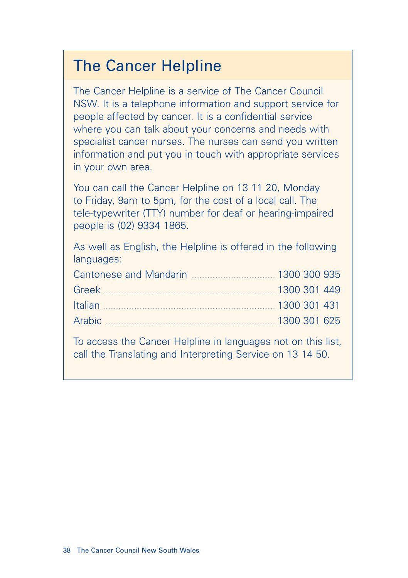### The Cancer Helpline

The Cancer Helpline is a service of The Cancer Council NSW. It is a telephone information and support service for people affected by cancer. It is a confidential service where you can talk about your concerns and needs with specialist cancer nurses. The nurses can send you written information and put you in touch with appropriate services in your own area.

You can call the Cancer Helpline on 13 11 20, Monday to Friday, 9am to 5pm, for the cost of a local call. The tele-typewriter (TTY) number for deaf or hearing-impaired people is (02) 9334 1865.

As well as English, the Helpline is offered in the following languages:

| <b>Cantonese and Mandarin</b> | 1300 300 935 |  |
|-------------------------------|--------------|--|
|                               | 1300 301 449 |  |
| Italian                       | 1300 301 431 |  |
| Arabic                        | 1300 301 625 |  |

To access the Cancer Helpline in languages not on this list, call the Translating and Interpreting Service on 13 14 50.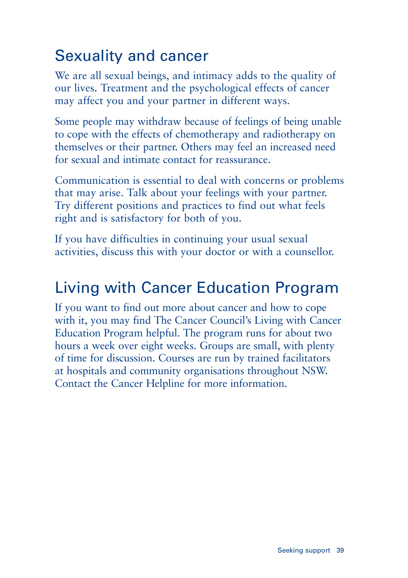## Sexuality and cancer

We are all sexual beings, and intimacy adds to the quality of our lives. Treatment and the psychological effects of cancer may affect you and your partner in different ways.

Some people may withdraw because of feelings of being unable to cope with the effects of chemotherapy and radiotherapy on themselves or their partner. Others may feel an increased need for sexual and intimate contact for reassurance.

Communication is essential to deal with concerns or problems that may arise. Talk about your feelings with your partner. Try different positions and practices to find out what feels right and is satisfactory for both of you.

If you have difficulties in continuing your usual sexual activities, discuss this with your doctor or with a counsellor.

## Living with Cancer Education Program

If you want to find out more about cancer and how to cope with it, you may find The Cancer Council's Living with Cancer Education Program helpful. The program runs for about two hours a week over eight weeks. Groups are small, with plenty of time for discussion. Courses are run by trained facilitators at hospitals and community organisations throughout NSW. Contact the Cancer Helpline for more information.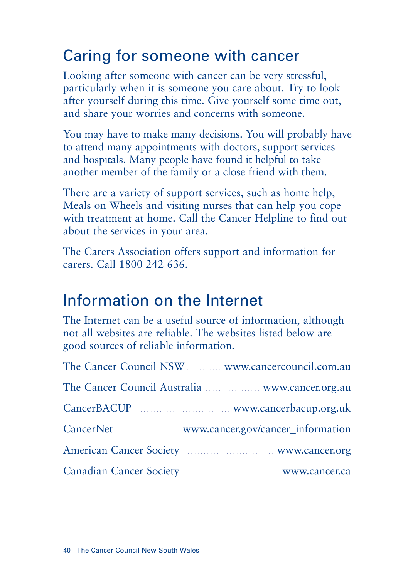## Caring for someone with cancer

Looking after someone with cancer can be very stressful, particularly when it is someone you care about. Try to look after yourself during this time. Give yourself some time out, and share your worries and concerns with someone.

You may have to make many decisions. You will probably have to attend many appointments with doctors, support services and hospitals. Many people have found it helpful to take another member of the family or a close friend with them.

There are a variety of support services, such as home help, Meals on Wheels and visiting nurses that can help you cope with treatment at home. Call the Cancer Helpline to find out about the services in your area.

The Carers Association offers support and information for carers. Call 1800 242 636.

### Information on the Internet

The Internet can be a useful source of information, although not all websites are reliable. The websites listed below are good sources of reliable information.

| The Cancer Council NSW  www.cancercouncil.com.au                           |
|----------------------------------------------------------------------------|
| The Cancer Council Australia <b>Marktan Australia</b> WWW.cancer.org.au    |
|                                                                            |
|                                                                            |
| American Cancer Society Manual American www.cancer.org                     |
| Canadian Cancer Society <b>Manual Accord Service Society</b> WWW.cancer.ca |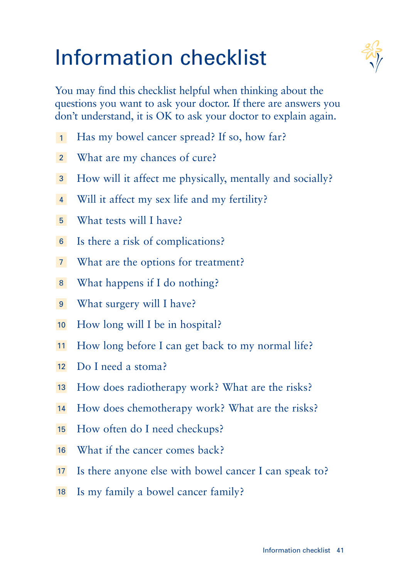# Information checklist



You may find this checklist helpful when thinking about the questions you want to ask your doctor. If there are answers you don't understand, it is OK to ask your doctor to explain again.

- Has my bowel cancer spread? If so, how far? 1
- What are my chances of cure? 2
- How will it affect me physically, mentally and socially? 3
- Will it affect my sex life and my fertility? 4
- What tests will I have? 5
- Is there a risk of complications? 6
- What are the options for treatment? 7
- What happens if I do nothing? 8
- What surgery will I have? 9
- How long will I be in hospital? 10
- How long before I can get back to my normal life? 11
- Do I need a stoma? 12
- How does radiotherapy work? What are the risks? 13
- How does chemotherapy work? What are the risks? 14
- How often do I need checkups? 15
- What if the cancer comes back? 16
- Is there anyone else with bowel cancer I can speak to? 17
- 18 Is my family a bowel cancer family?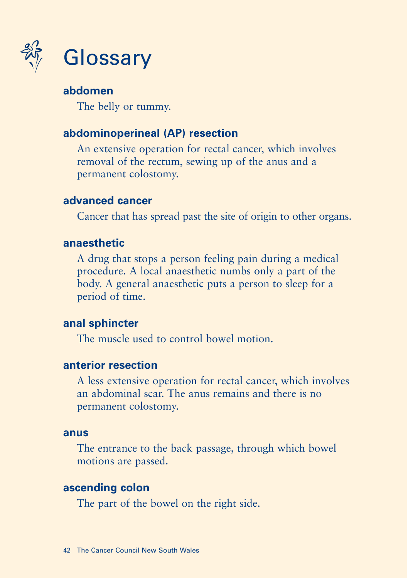

#### **abdomen**

The belly or tummy.

#### **abdominoperineal (AP) resection**

An extensive operation for rectal cancer, which involves removal of the rectum, sewing up of the anus and a permanent colostomy.

#### **advanced cancer**

Cancer that has spread past the site of origin to other organs.

#### **anaesthetic**

A drug that stops a person feeling pain during a medical procedure. A local anaesthetic numbs only a part of the body. A general anaesthetic puts a person to sleep for a period of time.

#### **anal sphincter**

The muscle used to control bowel motion.

#### **anterior resection**

A less extensive operation for rectal cancer, which involves an abdominal scar. The anus remains and there is no permanent colostomy.

#### **anus**

The entrance to the back passage, through which bowel motions are passed.

#### **ascending colon**

The part of the bowel on the right side.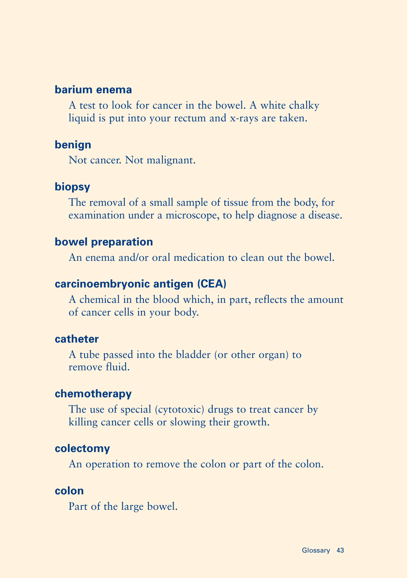#### **barium enema**

A test to look for cancer in the bowel. A white chalky liquid is put into your rectum and x-rays are taken.

#### **benign**

Not cancer. Not malignant.

#### **biopsy**

The removal of a small sample of tissue from the body, for examination under a microscope, to help diagnose a disease.

#### **bowel preparation**

An enema and/or oral medication to clean out the bowel.

#### **carcinoembryonic antigen (CEA)**

A chemical in the blood which, in part, reflects the amount of cancer cells in your body.

#### **catheter**

A tube passed into the bladder (or other organ) to remove fluid.

#### **chemotherapy**

The use of special (cytotoxic) drugs to treat cancer by killing cancer cells or slowing their growth.

#### **colectomy**

An operation to remove the colon or part of the colon.

#### **colon**

Part of the large bowel.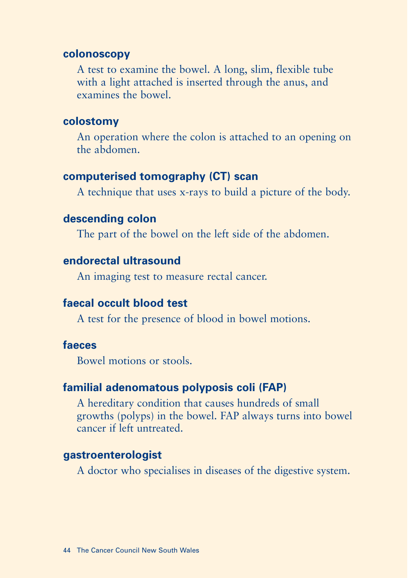#### **colonoscopy**

A test to examine the bowel. A long, slim, flexible tube with a light attached is inserted through the anus, and examines the bowel.

#### **colostomy**

An operation where the colon is attached to an opening on the abdomen.

#### **computerised tomography (CT) scan**

A technique that uses x-rays to build a picture of the body.

#### **descending colon**

The part of the bowel on the left side of the abdomen.

#### **endorectal ultrasound**

An imaging test to measure rectal cancer.

#### **faecal occult blood test**

A test for the presence of blood in bowel motions.

#### **faeces**

Bowel motions or stools.

#### **familial adenomatous polyposis coli (FAP)**

A hereditary condition that causes hundreds of small growths (polyps) in the bowel. FAP always turns into bowel cancer if left untreated.

#### **gastroenterologist**

A doctor who specialises in diseases of the digestive system.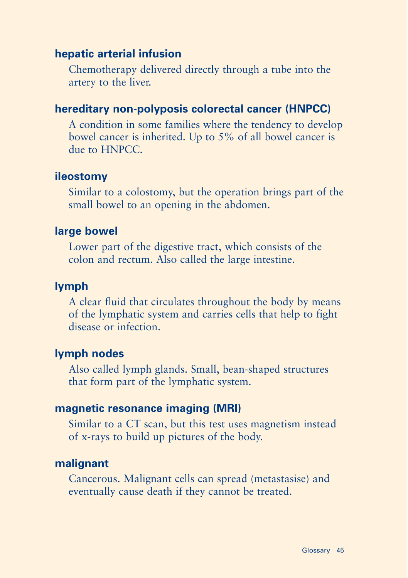#### **hepatic arterial infusion**

Chemotherapy delivered directly through a tube into the artery to the liver.

#### **hereditary non-polyposis colorectal cancer (HNPCC)**

A condition in some families where the tendency to develop bowel cancer is inherited. Up to 5% of all bowel cancer is due to HNPCC.

#### **ileostomy**

Similar to a colostomy, but the operation brings part of the small bowel to an opening in the abdomen.

#### **large bowel**

Lower part of the digestive tract, which consists of the colon and rectum. Also called the large intestine.

#### **lymph**

A clear fluid that circulates throughout the body by means of the lymphatic system and carries cells that help to fight disease or infection.

#### **lymph nodes**

Also called lymph glands. Small, bean-shaped structures that form part of the lymphatic system.

#### **magnetic resonance imaging (MRI)**

Similar to a CT scan, but this test uses magnetism instead of x-rays to build up pictures of the body.

#### **malignant**

Cancerous. Malignant cells can spread (metastasise) and eventually cause death if they cannot be treated.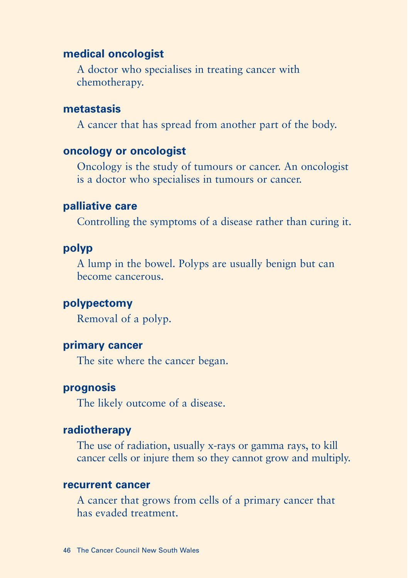#### **medical oncologist**

A doctor who specialises in treating cancer with chemotherapy.

#### **metastasis**

A cancer that has spread from another part of the body.

#### **oncology or oncologist**

Oncology is the study of tumours or cancer. An oncologist is a doctor who specialises in tumours or cancer.

#### **palliative care**

Controlling the symptoms of a disease rather than curing it.

#### **polyp**

A lump in the bowel. Polyps are usually benign but can become cancerous.

#### **polypectomy**

Removal of a polyp.

#### **primary cancer**

The site where the cancer began.

#### **prognosis**

The likely outcome of a disease.

#### **radiotherapy**

The use of radiation, usually x-rays or gamma rays, to kill cancer cells or injure them so they cannot grow and multiply.

#### **recurrent cancer**

A cancer that grows from cells of a primary cancer that has evaded treatment.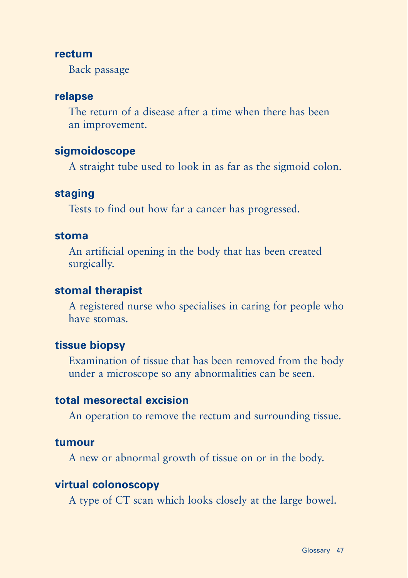#### **rectum**

Back passage

#### **relapse**

The return of a disease after a time when there has been an improvement.

#### **sigmoidoscope**

A straight tube used to look in as far as the sigmoid colon.

#### **staging**

Tests to find out how far a cancer has progressed.

#### **stoma**

An artificial opening in the body that has been created surgically.

#### **stomal therapist**

A registered nurse who specialises in caring for people who have stomas.

#### **tissue biopsy**

Examination of tissue that has been removed from the body under a microscope so any abnormalities can be seen.

#### **total mesorectal excision**

An operation to remove the rectum and surrounding tissue.

#### **tumour**

A new or abnormal growth of tissue on or in the body.

#### **virtual colonoscopy**

A type of CT scan which looks closely at the large bowel.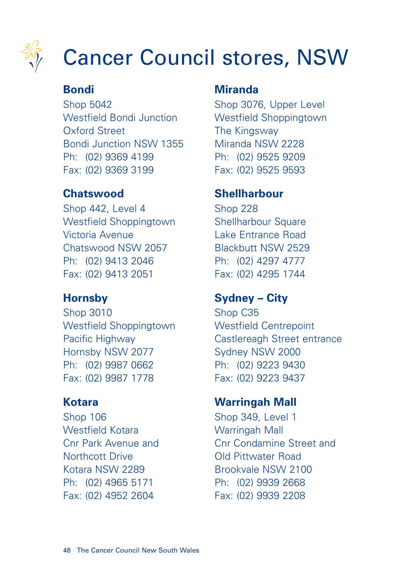

# Cancer Council stores, NSW

#### **Bondi**

Shop 5042 Westfield Bondi Junction Oxford Street Bondi Junction NSW 1355 Ph: (02) 9369 4199 Fax: (02) 9369 3199

#### **Chatswood**

Shop 442, Level 4 Westfield Shoppingtown Victoria Avenue Chatswood NSW 2057 Ph: (02) 9413 2046 Fax: (02) 9413 2051

#### **Hornsby**

Shop 3010 Westfield Shoppingtown Pacific Highway Hornsby NSW 2077 Ph: (02) 9987 0662 Fax: (02) 9987 1778

#### **Kotara**

Shop 106 Westfield Kotara Cnr Park Avenue and Northcott Drive Kotara NSW 2289 Ph: (02) 4965 5171 Fax: (02) 4952 2604

#### **Miranda**

Shop 3076, Upper Level Westfield Shoppingtown The Kingsway Miranda NSW 2228 Ph: (02) 9525 9209 Fax: (02) 9525 9593

#### **Shellharbour**

Shop 228 Shellharbour Square Lake Entrance Road Blackbutt NSW 2529 Ph: (02) 4297 4777 Fax: (02) 4295 1744

#### **Sydney – City**

Shop C35 Westfield Centrepoint Castlereagh Street entrance Sydney NSW 2000 Ph: (02) 9223 9430 Fax: (02) 9223 9437

#### **Warringah Mall**

Shop 349, Level 1 Warringah Mall Cnr Condamine Street and Old Pittwater Road Brookvale NSW 2100 Ph: (02) 9939 2668 Fax: (02) 9939 2208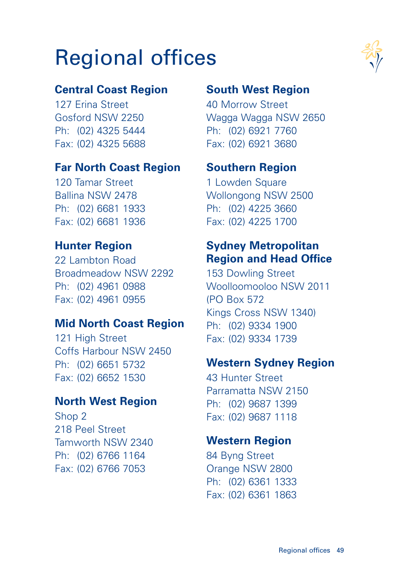# Regional offices

#### **Central Coast Region**

127 Erina Street Gosford NSW 2250 Ph: (02) 4325 5444 Fax: (02) 4325 5688

#### **Far North Coast Region**

120 Tamar Street Ballina NSW 2478 Ph: (02) 6681 1933 Fax: (02) 6681 1936

#### **Hunter Region**

22 Lambton Road Broadmeadow NSW 2292 Ph: (02) 4961 0988 Fax: (02) 4961 0955

#### **Mid North Coast Region**

121 High Street Coffs Harbour NSW 2450 Ph: (02) 6651 5732 Fax: (02) 6652 1530

#### **North West Region**

Shop 2 218 Peel Street Tamworth NSW 2340 Ph: (02) 6766 1164 Fax: (02) 6766 7053

#### **South West Region**

40 Morrow Street Wagga Wagga NSW 2650 Ph: (02) 6921 7760 Fax: (02) 6921 3680

#### **Southern Region**

1 Lowden Square Wollongong NSW 2500 Ph: (02) 4225 3660 Fax: (02) 4225 1700

#### **Sydney Metropolitan Region and Head Office**

153 Dowling Street Woolloomooloo NSW 2011 (PO Box 572 Kings Cross NSW 1340) Ph: (02) 9334 1900 Fax: (02) 9334 1739

#### **Western Sydney Region**

43 Hunter Street Parramatta NSW 2150 Ph: (02) 9687 1399 Fax: (02) 9687 1118

#### **Western Region**

84 Byng Street Orange NSW 2800 Ph: (02) 6361 1333 Fax: (02) 6361 1863